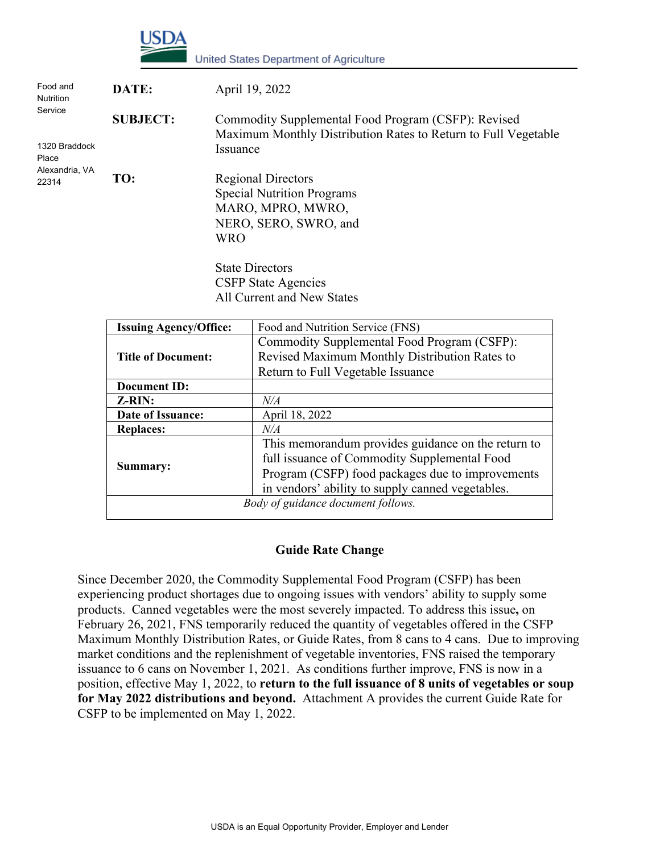

| Food and<br><b>Nutrition</b>      | DATE:           | April 19, 2022                                                                                                                    |
|-----------------------------------|-----------------|-----------------------------------------------------------------------------------------------------------------------------------|
| Service<br>1320 Braddock<br>Place | <b>SUBJECT:</b> | Commodity Supplemental Food Program (CSFP): Revised<br>Maximum Monthly Distribution Rates to Return to Full Vegetable<br>Issuance |
| Alexandria, VA<br>22314           | TO:             | <b>Regional Directors</b><br><b>Special Nutrition Programs</b><br>MARO, MPRO, MWRO,<br>NERO, SERO, SWRO, and<br><b>WRO</b>        |
|                                   |                 | State Directors                                                                                                                   |

State Directors CSFP State Agencies All Current and New States

| <b>Issuing Agency/Office:</b>      | Food and Nutrition Service (FNS)                   |  |
|------------------------------------|----------------------------------------------------|--|
|                                    | Commodity Supplemental Food Program (CSFP):        |  |
| <b>Title of Document:</b>          | Revised Maximum Monthly Distribution Rates to      |  |
|                                    | Return to Full Vegetable Issuance                  |  |
| Document ID:                       |                                                    |  |
| <b>Z-RIN:</b>                      | N/A                                                |  |
| Date of Issuance:                  | April 18, 2022                                     |  |
| <b>Replaces:</b>                   | N/A                                                |  |
|                                    | This memorandum provides guidance on the return to |  |
|                                    | full issuance of Commodity Supplemental Food       |  |
| Summary:                           | Program (CSFP) food packages due to improvements   |  |
|                                    | in vendors' ability to supply canned vegetables.   |  |
| Body of guidance document follows. |                                                    |  |

#### **Guide Rate Change**

Since December 2020, the Commodity Supplemental Food Program (CSFP) has been experiencing product shortages due to ongoing issues with vendors' ability to supply some products. Canned vegetables were the most severely impacted. To address this issue**,** on February 26, 2021, FNS temporarily reduced the quantity of vegetables offered in the CSFP Maximum Monthly Distribution Rates, or Guide Rates, from 8 cans to 4 cans. Due to improving market conditions and the replenishment of vegetable inventories, FNS raised the temporary issuance to 6 cans on November 1, 2021. As conditions further improve, FNS is now in a position, effective May 1, 2022, to **return to the full issuance of 8 units of vegetables or soup for May 2022 distributions and beyond.** Attachment A provides the current Guide Rate for CSFP to be implemented on May 1, 2022.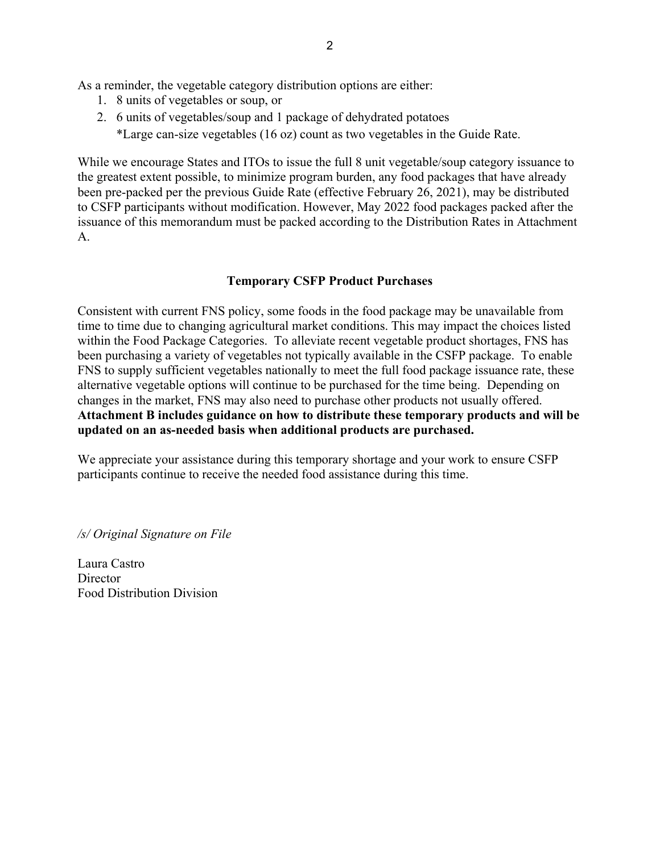As a reminder, the vegetable category distribution options are either:

- 1. 8 units of vegetables or soup, or
- 2. 6 units of vegetables/soup and 1 package of dehydrated potatoes

\*Large can-size vegetables (16 oz) count as two vegetables in the Guide Rate.

While we encourage States and ITOs to issue the full 8 unit vegetable/soup category issuance to the greatest extent possible, to minimize program burden, any food packages that have already been pre-packed per the previous Guide Rate (effective February 26, 2021), may be distributed to CSFP participants without modification. However, May 2022 food packages packed after the issuance of this memorandum must be packed according to the Distribution Rates in Attachment A.

### **Temporary CSFP Product Purchases**

Consistent with current FNS policy, some foods in the food package may be unavailable from time to time due to changing agricultural market conditions. This may impact the choices listed within the Food Package Categories. To alleviate recent vegetable product shortages, FNS has been purchasing a variety of vegetables not typically available in the CSFP package. To enable FNS to supply sufficient vegetables nationally to meet the full food package issuance rate, these alternative vegetable options will continue to be purchased for the time being. Depending on changes in the market, FNS may also need to purchase other products not usually offered. **Attachment B includes guidance on how to distribute these temporary products and will be updated on an as-needed basis when additional products are purchased.** 

We appreciate your assistance during this temporary shortage and your work to ensure CSFP participants continue to receive the needed food assistance during this time.

*/s/ Original Signature on File*

Laura Castro **Director** Food Distribution Division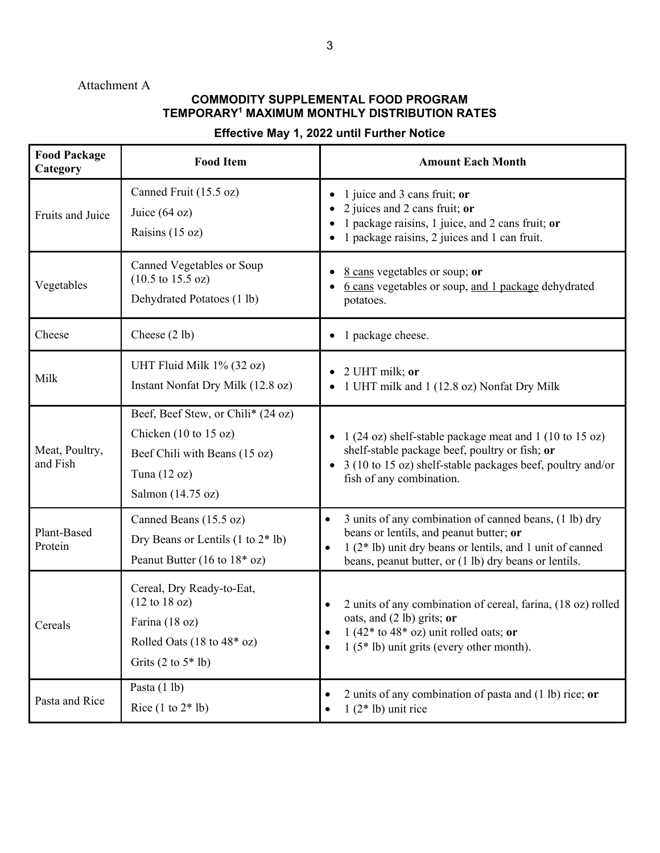## Attachment A

## **COMMODITY SUPPLEMENTAL FOOD PROGRAM TEMPORARY1 MAXIMUM MONTHLY DISTRIBUTION RATES**

# **Effective May 1, 2022 until Further Notice**

| <b>Food Package</b><br>Category | <b>Food Item</b>                                                                                                                                                            | <b>Amount Each Month</b>                                                                                                                                                                                                                          |  |
|---------------------------------|-----------------------------------------------------------------------------------------------------------------------------------------------------------------------------|---------------------------------------------------------------------------------------------------------------------------------------------------------------------------------------------------------------------------------------------------|--|
| Fruits and Juice                | Canned Fruit (15.5 oz)<br>Juice $(64 oz)$<br>Raisins (15 oz)                                                                                                                | 1 juice and 3 cans fruit; or<br>2 juices and 2 cans fruit; or<br>1 package raisins, 1 juice, and 2 cans fruit; or<br>1 package raisins, 2 juices and 1 can fruit.                                                                                 |  |
| Vegetables                      | Canned Vegetables or Soup<br>$(10.5 \text{ to } 15.5 \text{ oz})$<br>Dehydrated Potatoes (1 lb)                                                                             | 8 cans vegetables or soup; or<br>6 cans vegetables or soup, and 1 package dehydrated<br>potatoes.                                                                                                                                                 |  |
| Cheese                          | Cheese $(2 lb)$                                                                                                                                                             | 1 package cheese.                                                                                                                                                                                                                                 |  |
| Milk                            | UHT Fluid Milk 1% (32 oz)<br>Instant Nonfat Dry Milk (12.8 oz)                                                                                                              | 2 UHT milk; or<br>1 UHT milk and 1 (12.8 oz) Nonfat Dry Milk                                                                                                                                                                                      |  |
| Meat, Poultry,<br>and Fish      | Beef, Beef Stew, or Chili* (24 oz)<br>Chicken $(10 \text{ to } 15 \text{ oz})$<br>Beef Chili with Beans (15 oz)<br>Tuna $(12 oz)$<br>Salmon (14.75 oz)                      | 1 (24 oz) shelf-stable package meat and 1 (10 to 15 oz)<br>shelf-stable package beef, poultry or fish; or<br>3 (10 to 15 oz) shelf-stable packages beef, poultry and/or<br>fish of any combination.                                               |  |
| Plant-Based<br>Protein          | Canned Beans (15.5 oz)<br>Dry Beans or Lentils $(1 to 2 * 1b)$<br>Peanut Butter (16 to $18*$ oz)                                                                            | 3 units of any combination of canned beans, (1 lb) dry<br>$\bullet$<br>beans or lentils, and peanut butter; or<br>1 (2* lb) unit dry beans or lentils, and 1 unit of canned<br>$\bullet$<br>beans, peanut butter, or (1 lb) dry beans or lentils. |  |
| Cereals                         | Cereal, Dry Ready-to-Eat,<br>$(12 \text{ to } 18 \text{ oz})$<br>Farina (18 oz)<br>Rolled Oats $(18 \text{ to } 48^* \text{ oz})$<br>Grits $(2 \text{ to } 5^* \text{ lb})$ | 2 units of any combination of cereal, farina, (18 oz) rolled<br>٠<br>oats, and $(2 lb)$ grits; or<br>1 (42* to 48* oz) unit rolled oats; or<br>$1(5*1b)$ unit grits (every other month).<br>$\bullet$                                             |  |
| Pasta and Rice                  | Pasta (1 lb)<br>Rice $(1 to 2 * 1b)$                                                                                                                                        | 2 units of any combination of pasta and $(1 lb)$ rice; or<br>٠<br>$1(2 * lb)$ unit rice<br>$\bullet$                                                                                                                                              |  |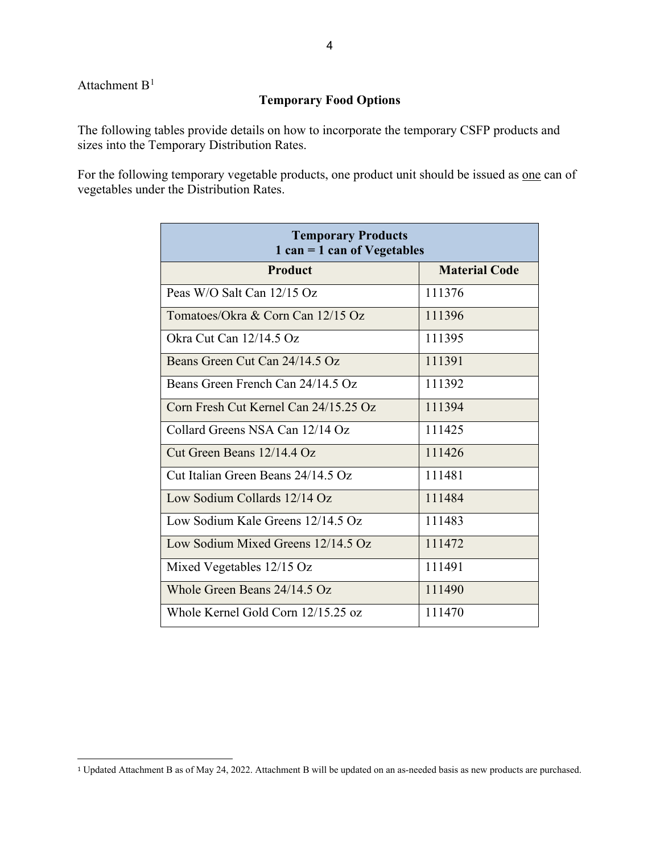Attachment  $B<sup>1</sup>$  $B<sup>1</sup>$  $B<sup>1</sup>$ 

### **Temporary Food Options**

The following tables provide details on how to incorporate the temporary CSFP products and sizes into the Temporary Distribution Rates.

For the following temporary vegetable products, one product unit should be issued as <u>one</u> can of vegetables under the Distribution Rates.

| <b>Temporary Products</b><br>$1 can = 1 can of Vegetables$ |                      |  |  |  |
|------------------------------------------------------------|----------------------|--|--|--|
| <b>Product</b>                                             | <b>Material Code</b> |  |  |  |
| Peas W/O Salt Can 12/15 Oz                                 | 111376               |  |  |  |
| Tomatoes/Okra & Corn Can 12/15 Oz                          | 111396               |  |  |  |
| Okra Cut Can 12/14.5 Oz                                    | 111395               |  |  |  |
| Beans Green Cut Can 24/14.5 Oz                             | 111391               |  |  |  |
| Beans Green French Can 24/14.5 Oz                          | 111392               |  |  |  |
| Corn Fresh Cut Kernel Can 24/15.25 Oz                      | 111394               |  |  |  |
| Collard Greens NSA Can 12/14 Oz                            | 111425               |  |  |  |
| Cut Green Beans 12/14.4 Oz                                 | 111426               |  |  |  |
| Cut Italian Green Beans 24/14.5 Oz                         | 111481               |  |  |  |
| Low Sodium Collards 12/14 Oz                               | 111484               |  |  |  |
| Low Sodium Kale Greens 12/14.5 Oz                          | 111483               |  |  |  |
| Low Sodium Mixed Greens 12/14.5 Oz                         | 111472               |  |  |  |
| Mixed Vegetables 12/15 Oz                                  | 111491               |  |  |  |
| Whole Green Beans $24/14.5$ Oz                             | 111490               |  |  |  |
| Whole Kernel Gold Corn 12/15.25 oz                         | 111470               |  |  |  |

<span id="page-3-0"></span><sup>1</sup> Updated Attachment B as of May 24, 2022. Attachment B will be updated on an as-needed basis as new products are purchased.